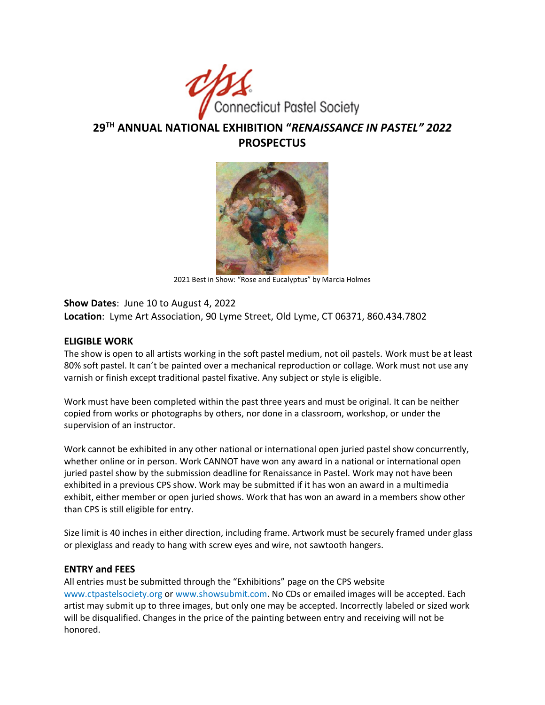

# **29TH ANNUAL NATIONAL EXHIBITION "***RENAISSANCE IN PASTEL" 2022* **PROSPECTUS**



2021 Best in Show: "Rose and Eucalyptus" by Marcia Holmes

### **Show Dates**: June 10 to August 4, 2022

**Location**: Lyme Art Association, 90 Lyme Street, Old Lyme, CT 06371, 860.434.7802

#### **ELIGIBLE WORK**

The show is open to all artists working in the soft pastel medium, not oil pastels. Work must be at least 80% soft pastel. It can't be painted over a mechanical reproduction or collage. Work must not use any varnish or finish except traditional pastel fixative. Any subject or style is eligible.

Work must have been completed within the past three years and must be original. It can be neither copied from works or photographs by others, nor done in a classroom, workshop, or under the supervision of an instructor.

Work cannot be exhibited in any other national or international open juried pastel show concurrently, whether online or in person. Work CANNOT have won any award in a national or international open juried pastel show by the submission deadline for Renaissance in Pastel. Work may not have been exhibited in a previous CPS show. Work may be submitted if it has won an award in a multimedia exhibit, either member or open juried shows. Work that has won an award in a members show other than CPS is still eligible for entry.

Size limit is 40 inches in either direction, including frame. Artwork must be securely framed under glass or plexiglass and ready to hang with screw eyes and wire, not sawtooth hangers.

#### **ENTRY and FEES**

All entries must be submitted through the "Exhibitions" page on the CPS website www.ctpastelsociety.org or www.showsubmit.com. No CDs or emailed images will be accepted. Each artist may submit up to three images, but only one may be accepted. Incorrectly labeled or sized work will be disqualified. Changes in the price of the painting between entry and receiving will not be honored.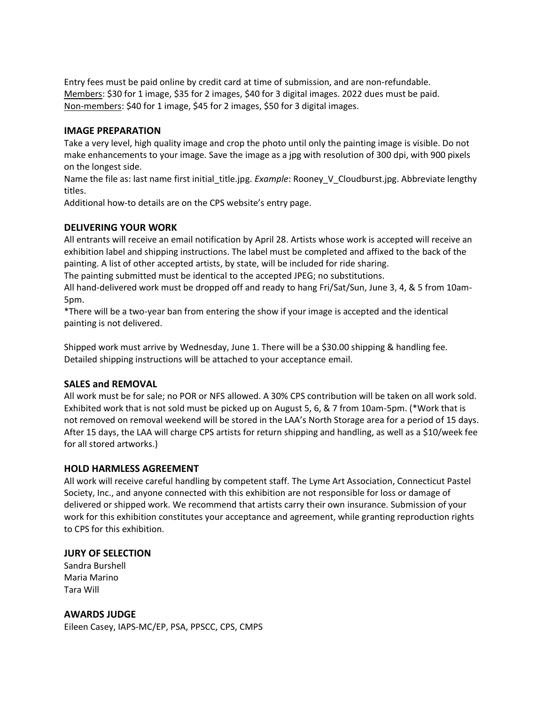Entry fees must be paid online by credit card at time of submission, and are non-refundable. Members: \$30 for 1 image, \$35 for 2 images, \$40 for 3 digital images. 2022 dues must be paid. Non-members: \$40 for 1 image, \$45 for 2 images, \$50 for 3 digital images.

### **IMAGE PREPARATION**

Take a very level, high quality image and crop the photo until only the painting image is visible. Do not make enhancements to your image. Save the image as a jpg with resolution of 300 dpi, with 900 pixels on the longest side.

Name the file as: last name first initial\_title.jpg. *Example*: Rooney\_V\_Cloudburst.jpg. Abbreviate lengthy titles.

Additional how-to details are on the CPS website's entry page.

## **DELIVERING YOUR WORK**

All entrants will receive an email notification by April 28. Artists whose work is accepted will receive an exhibition label and shipping instructions. The label must be completed and affixed to the back of the painting. A list of other accepted artists, by state, will be included for ride sharing.

The painting submitted must be identical to the accepted JPEG; no substitutions.

All hand-delivered work must be dropped off and ready to hang Fri/Sat/Sun, June 3, 4, & 5 from 10am-5pm.

\*There will be a two-year ban from entering the show if your image is accepted and the identical painting is not delivered.

Shipped work must arrive by Wednesday, June 1. There will be a \$30.00 shipping & handling fee. Detailed shipping instructions will be attached to your acceptance email.

#### **SALES and REMOVAL**

All work must be for sale; no POR or NFS allowed. A 30% CPS contribution will be taken on all work sold. Exhibited work that is not sold must be picked up on August 5, 6, & 7 from 10am-5pm. (\*Work that is not removed on removal weekend will be stored in the LAA's North Storage area for a period of 15 days. After 15 days, the LAA will charge CPS artists for return shipping and handling, as well as a \$10/week fee for all stored artworks.)

#### **HOLD HARMLESS AGREEMENT**

All work will receive careful handling by competent staff. The Lyme Art Association, Connecticut Pastel Society, Inc., and anyone connected with this exhibition are not responsible for loss or damage of delivered or shipped work. We recommend that artists carry their own insurance. Submission of your work for this exhibition constitutes your acceptance and agreement, while granting reproduction rights to CPS for this exhibition.

#### **JURY OF SELECTION**

Sandra Burshell Maria Marino Tara Will

**AWARDS JUDGE** Eileen Casey, IAPS-MC/EP, PSA, PPSCC, CPS, CMPS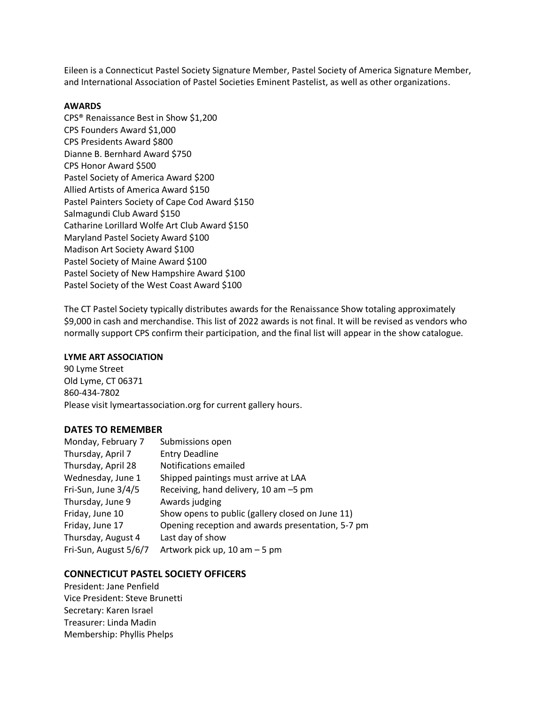Eileen is a Connecticut Pastel Society Signature Member, Pastel Society of America Signature Member, and International Association of Pastel Societies Eminent Pastelist, as well as other organizations.

#### **AWARDS**

CPS® Renaissance Best in Show \$1,200 CPS Founders Award \$1,000 CPS Presidents Award \$800 Dianne B. Bernhard Award \$750 CPS Honor Award \$500 Pastel Society of America Award \$200 Allied Artists of America Award \$150 Pastel Painters Society of Cape Cod Award \$150 Salmagundi Club Award \$150 Catharine Lorillard Wolfe Art Club Award \$150 Maryland Pastel Society Award \$100 Madison Art Society Award \$100 Pastel Society of Maine Award \$100 Pastel Society of New Hampshire Award \$100 Pastel Society of the West Coast Award \$100

The CT Pastel Society typically distributes awards for the Renaissance Show totaling approximately \$9,000 in cash and merchandise. This list of 2022 awards is not final. It will be revised as vendors who normally support CPS confirm their participation, and the final list will appear in the show catalogue.

#### **LYME ART ASSOCIATION**

90 Lyme Street Old Lyme, CT 06371 860-434-7802 Please visit lymeartassociation.org for current gallery hours.

#### **DATES TO REMEMBER**

| Monday, February 7    | Submissions open                                  |
|-----------------------|---------------------------------------------------|
| Thursday, April 7     | <b>Entry Deadline</b>                             |
| Thursday, April 28    | Notifications emailed                             |
| Wednesday, June 1     | Shipped paintings must arrive at LAA              |
| Fri-Sun, June 3/4/5   | Receiving, hand delivery, 10 am -5 pm             |
| Thursday, June 9      | Awards judging                                    |
| Friday, June 10       | Show opens to public (gallery closed on June 11)  |
| Friday, June 17       | Opening reception and awards presentation, 5-7 pm |
| Thursday, August 4    | Last day of show                                  |
| Fri-Sun, August 5/6/7 | Artwork pick up, 10 am - 5 pm                     |

#### **CONNECTICUT PASTEL SOCIETY OFFICERS**

President: Jane Penfield Vice President: Steve Brunetti Secretary: Karen Israel Treasurer: Linda Madin Membership: Phyllis Phelps